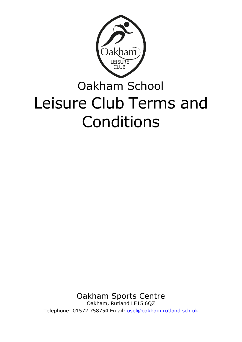

# Oakham School Leisure Club Terms and Conditions

Oakham Sports Centre Oakham, Rutland LE15 6QZ

Telephone: 01572 758754 Email: [osel@oakham.rutland.sch.uk](mailto:osel@oakham.rutland.sch.uk)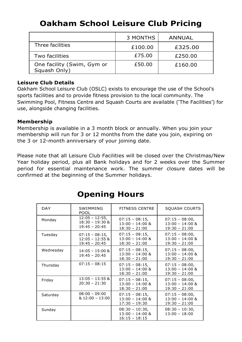|                                            | 3 MONTHS | <b>ANNUAL</b> |
|--------------------------------------------|----------|---------------|
| Three facilities                           | £100.00  | £325.00       |
| Two facilities                             | £75.00   | £250.00       |
| One facility (Swim, Gym or<br>Squash Only) | £50.00   | £160.00       |

#### **Leisure Club Details**

Oakham School Leisure Club (OSLC) exists to encourage the use of the School's sports facilities and to provide fitness provision to the local community. The Swimming Pool, Fitness Centre and Squash Courts are available ('The Facilities') for use, alongside changing facilities.

#### **Membership**

Membership is available in a 3 month block or annually. When you join your membership will run for 3 or 12 months from the date you join, expiring on the 3 or 12-month anniversary of your joining date.

Please note that all Leisure Club Facilities will be closed over the Christmas/New Year holiday period, plus all Bank holidays and for 2 weeks over the Summer period for essential maintenance work. The summer closure dates will be confirmed at the beginning of the Summer holidays.

| <b>DAY</b> | SWIMMING<br><b>POOL</b>                                 | <b>FITNESS CENTRE</b>                                    | <b>SQUASH COURTS</b>                                     |
|------------|---------------------------------------------------------|----------------------------------------------------------|----------------------------------------------------------|
| Monday     | $12:05 - 12:55$<br>$18:30 - 19:30$ &<br>$19:45 - 20:45$ | $07:15 - 08:15$<br>$13:00 - 14:00$ &<br>$18:30 - 21:00$  | $07:15 - 08:00,$<br>$13:00 - 14:00$ &<br>$19:30 - 21:00$ |
| Tuesday    | $07:15 - 08:15$<br>$12:05 - 12:55$ &<br>$19:45 - 20:45$ | $07:15 - 08:15$<br>$13:00 - 14:00$ &<br>$18:30 - 21:00$  | $07:15 - 08:00,$<br>$13:00 - 14:00$ &<br>$19:30 - 21:00$ |
| Wednesday  | $14:05 - 15:00$ &<br>$19:45 - 20:45$                    | $07:15 - 08:15$<br>$13:00 - 14:00$ &<br>$18:30 - 21:00$  | $07:15 - 08:00,$<br>$13:00 - 14:00$ &<br>$19:30 - 21:00$ |
| Thursday   | $07:15 - 08:15$                                         | $07:15 - 08:15$<br>$13:00 - 14:00$ &<br>$18:30 - 21:00$  | $07:15 - 08:00,$<br>$13:00 - 14:00$ &<br>$19:30 - 21:00$ |
| Friday     | $13:05 - 13:55$ &<br>$20:30 - 21:30$                    | $07:15 - 08:15$<br>$13:00 - 14:00$ &<br>$18:30 - 21:00$  | $07:15 - 08:00,$<br>$13:00 - 14:00$ &<br>$19:30 - 21:00$ |
| Saturday   | $08:00 - 09:00$<br>& 12:00 - 13:00                      | $07:15 - 08:15$<br>$13:00 - 14:00$ &<br>$17:30 - 19:30$  | $07:15 - 08:00,$<br>$13:00 - 14:00$ &<br>$19:30 - 21:00$ |
| Sunday     |                                                         | $08:30 - 10:30,$<br>$13:00 - 14:00$ &<br>$16:15 - 18:15$ | $08:30 - 10:30,$<br>$13:00 - 18:00$                      |

## **Opening Hours**